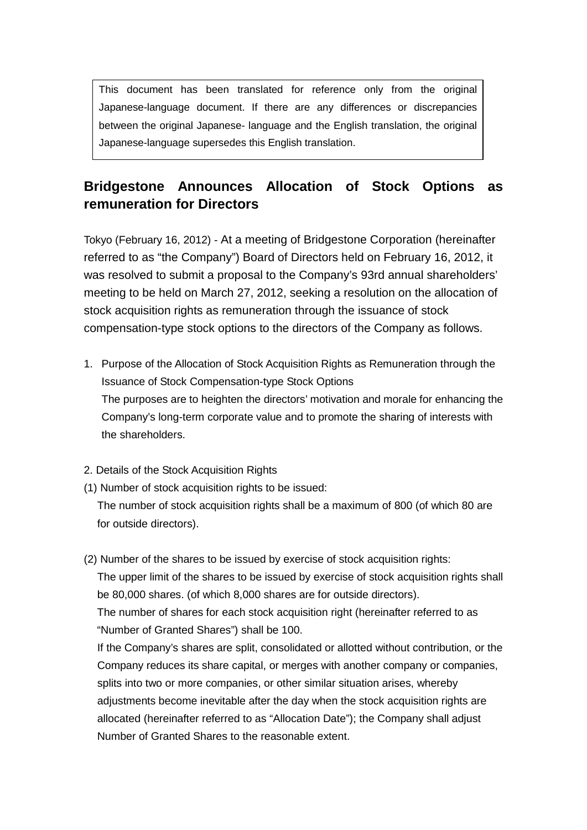This document has been translated for reference only from the original Japanese-language document. If there are any differences or discrepancies between the original Japanese- language and the English translation, the original Japanese-language supersedes this English translation.

## **Bridgestone Announces Allocation of Stock Options as remuneration for Directors**

Tokyo (February 16, 2012) - At a meeting of Bridgestone Corporation (hereinafter referred to as "the Company") Board of Directors held on February 16, 2012, it was resolved to submit a proposal to the Company's 93rd annual shareholders' meeting to be held on March 27, 2012, seeking a resolution on the allocation of stock acquisition rights as remuneration through the issuance of stock compensation-type stock options to the directors of the Company as follows.

- 1. Purpose of the Allocation of Stock Acquisition Rights as Remuneration through the Issuance of Stock Compensation-type Stock Options The purposes are to heighten the directors' motivation and morale for enhancing the Company's long-term corporate value and to promote the sharing of interests with the shareholders.
- 2. Details of the Stock Acquisition Rights
- (1) Number of stock acquisition rights to be issued:

The number of stock acquisition rights shall be a maximum of 800 (of which 80 are for outside directors).

(2) Number of the shares to be issued by exercise of stock acquisition rights:

The upper limit of the shares to be issued by exercise of stock acquisition rights shall be 80,000 shares. (of which 8,000 shares are for outside directors).

The number of shares for each stock acquisition right (hereinafter referred to as "Number of Granted Shares") shall be 100.

If the Company's shares are split, consolidated or allotted without contribution, or the Company reduces its share capital, or merges with another company or companies, splits into two or more companies, or other similar situation arises, whereby adjustments become inevitable after the day when the stock acquisition rights are allocated (hereinafter referred to as "Allocation Date"); the Company shall adjust Number of Granted Shares to the reasonable extent.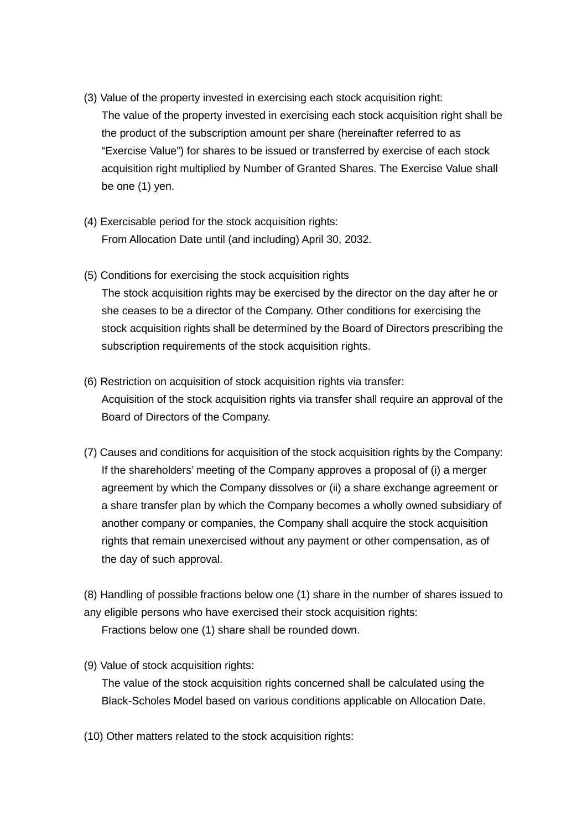- (3) Value of the property invested in exercising each stock acquisition right: The value of the property invested in exercising each stock acquisition right shall be the product of the subscription amount per share (hereinafter referred to as "Exercise Value") for shares to be issued or transferred by exercise of each stock acquisition right multiplied by Number of Granted Shares. The Exercise Value shall be one (1) yen.
- (4) Exercisable period for the stock acquisition rights: From Allocation Date until (and including) April 30, 2032.
- (5) Conditions for exercising the stock acquisition rights The stock acquisition rights may be exercised by the director on the day after he or she ceases to be a director of the Company. Other conditions for exercising the stock acquisition rights shall be determined by the Board of Directors prescribing the subscription requirements of the stock acquisition rights.
- (6) Restriction on acquisition of stock acquisition rights via transfer: Acquisition of the stock acquisition rights via transfer shall require an approval of the Board of Directors of the Company.
- (7) Causes and conditions for acquisition of the stock acquisition rights by the Company: If the shareholders' meeting of the Company approves a proposal of (i) a merger agreement by which the Company dissolves or (ii) a share exchange agreement or a share transfer plan by which the Company becomes a wholly owned subsidiary of another company or companies, the Company shall acquire the stock acquisition rights that remain unexercised without any payment or other compensation, as of the day of such approval.

(8) Handling of possible fractions below one (1) share in the number of shares issued to any eligible persons who have exercised their stock acquisition rights: Fractions below one (1) share shall be rounded down.

(9) Value of stock acquisition rights:

The value of the stock acquisition rights concerned shall be calculated using the Black-Scholes Model based on various conditions applicable on Allocation Date.

(10) Other matters related to the stock acquisition rights: